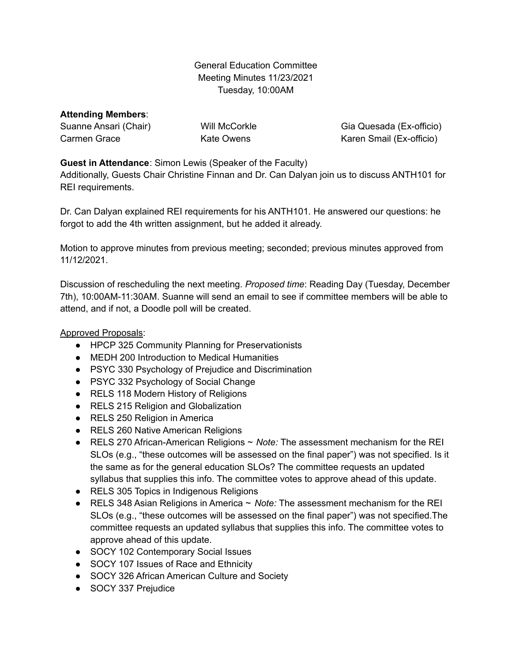General Education Committee Meeting Minutes 11/23/2021 Tuesday, 10:00AM

# **Attending Members**:

Suanne Ansari (Chair) Carmen Grace

Will McCorkle Kate Owens

Gia Quesada (Ex-officio) Karen Smail (Ex-officio)

#### **Guest in Attendance**: Simon Lewis (Speaker of the Faculty)

Additionally, Guests Chair Christine Finnan and Dr. Can Dalyan join us to discuss ANTH101 for REI requirements.

Dr. Can Dalyan explained REI requirements for his ANTH101. He answered our questions: he forgot to add the 4th written assignment, but he added it already.

Motion to approve minutes from previous meeting; seconded; previous minutes approved from 11/12/2021.

Discussion of rescheduling the next meeting. *Proposed time*: Reading Day (Tuesday, December 7th), 10:00AM-11:30AM. Suanne will send an email to see if committee members will be able to attend, and if not, a Doodle poll will be created.

#### Approved Proposals:

- HPCP 325 Community Planning for Preservationists
- MEDH 200 Introduction to Medical Humanities
- PSYC 330 Psychology of Prejudice and Discrimination
- PSYC 332 Psychology of Social Change
- RELS 118 Modern History of Religions
- RELS 215 Religion and Globalization
- RELS 250 Religion in America
- RELS 260 Native American Religions
- RELS 270 African-American Religions ~ *Note:* The assessment mechanism for the REI SLOs (e.g., "these outcomes will be assessed on the final paper") was not specified. Is it the same as for the general education SLOs? The committee requests an updated syllabus that supplies this info. The committee votes to approve ahead of this update.
- RELS 305 Topics in Indigenous Religions
- RELS 348 Asian Religions in America ~ *Note:* The assessment mechanism for the REI SLOs (e.g., "these outcomes will be assessed on the final paper") was not specified.The committee requests an updated syllabus that supplies this info. The committee votes to approve ahead of this update.
- SOCY 102 Contemporary Social Issues
- SOCY 107 Issues of Race and Ethnicity
- SOCY 326 African American Culture and Society
- SOCY 337 Prejudice